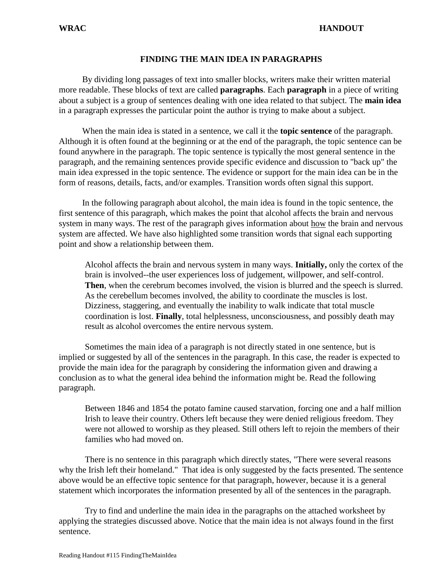# **FINDING THE MAIN IDEA IN PARAGRAPHS**

By dividing long passages of text into smaller blocks, writers make their written material more readable. These blocks of text are called **paragraphs**. Each **paragraph** in a piece of writing about a subject is a group of sentences dealing with one idea related to that subject. The **main idea** in a paragraph expresses the particular point the author is trying to make about a subject.

When the main idea is stated in a sentence, we call it the **topic sentence** of the paragraph. Although it is often found at the beginning or at the end of the paragraph, the topic sentence can be found anywhere in the paragraph. The topic sentence is typically the most general sentence in the paragraph, and the remaining sentences provide specific evidence and discussion to "back up" the main idea expressed in the topic sentence. The evidence or support for the main idea can be in the form of reasons, details, facts, and/or examples. Transition words often signal this support.

In the following paragraph about alcohol, the main idea is found in the topic sentence, the first sentence of this paragraph, which makes the point that alcohol affects the brain and nervous system in many ways. The rest of the paragraph gives information about how the brain and nervous system are affected. We have also highlighted some transition words that signal each supporting point and show a relationship between them.

Alcohol affects the brain and nervous system in many ways. **Initially,** only the cortex of the brain is involved--the user experiences loss of judgement, willpower, and self-control. **Then**, when the cerebrum becomes involved, the vision is blurred and the speech is slurred. As the cerebellum becomes involved, the ability to coordinate the muscles is lost. Dizziness, staggering, and eventually the inability to walk indicate that total muscle coordination is lost. **Finally**, total helplessness, unconsciousness, and possibly death may result as alcohol overcomes the entire nervous system.

Sometimes the main idea of a paragraph is not directly stated in one sentence, but is implied or suggested by all of the sentences in the paragraph. In this case, the reader is expected to provide the main idea for the paragraph by considering the information given and drawing a conclusion as to what the general idea behind the information might be. Read the following paragraph.

Between 1846 and 1854 the potato famine caused starvation, forcing one and a half million Irish to leave their country. Others left because they were denied religious freedom. They were not allowed to worship as they pleased. Still others left to rejoin the members of their families who had moved on.

There is no sentence in this paragraph which directly states, "There were several reasons why the Irish left their homeland." That idea is only suggested by the facts presented. The sentence above would be an effective topic sentence for that paragraph, however, because it is a general statement which incorporates the information presented by all of the sentences in the paragraph.

Try to find and underline the main idea in the paragraphs on the attached worksheet by applying the strategies discussed above. Notice that the main idea is not always found in the first sentence.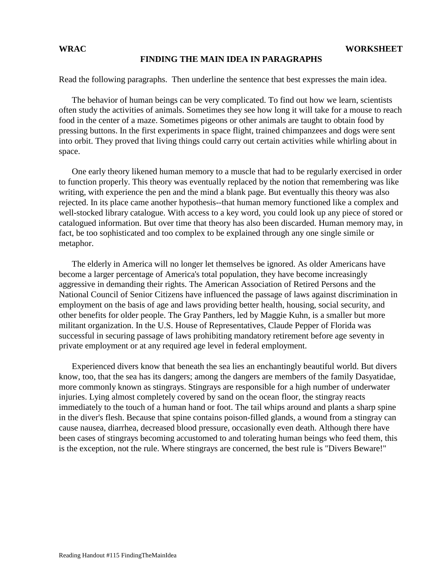## **FINDING THE MAIN IDEA IN PARAGRAPHS**

Read the following paragraphs. Then underline the sentence that best expresses the main idea.

The behavior of human beings can be very complicated. To find out how we learn, scientists often study the activities of animals. Sometimes they see how long it will take for a mouse to reach food in the center of a maze. Sometimes pigeons or other animals are taught to obtain food by pressing buttons. In the first experiments in space flight, trained chimpanzees and dogs were sent into orbit. They proved that living things could carry out certain activities while whirling about in space.

One early theory likened human memory to a muscle that had to be regularly exercised in order to function properly. This theory was eventually replaced by the notion that remembering was like writing, with experience the pen and the mind a blank page. But eventually this theory was also rejected. In its place came another hypothesis--that human memory functioned like a complex and well-stocked library catalogue. With access to a key word, you could look up any piece of stored or catalogued information. But over time that theory has also been discarded. Human memory may, in fact, be too sophisticated and too complex to be explained through any one single simile or metaphor.

The elderly in America will no longer let themselves be ignored. As older Americans have become a larger percentage of America's total population, they have become increasingly aggressive in demanding their rights. The American Association of Retired Persons and the National Council of Senior Citizens have influenced the passage of laws against discrimination in employment on the basis of age and laws providing better health, housing, social security, and other benefits for older people. The Gray Panthers, led by Maggie Kuhn, is a smaller but more militant organization. In the U.S. House of Representatives, Claude Pepper of Florida was successful in securing passage of laws prohibiting mandatory retirement before age seventy in private employment or at any required age level in federal employment.

Experienced divers know that beneath the sea lies an enchantingly beautiful world. But divers know, too, that the sea has its dangers; among the dangers are members of the family Dasyatidae, more commonly known as stingrays. Stingrays are responsible for a high number of underwater injuries. Lying almost completely covered by sand on the ocean floor, the stingray reacts immediately to the touch of a human hand or foot. The tail whips around and plants a sharp spine in the diver's flesh. Because that spine contains poison-filled glands, a wound from a stingray can cause nausea, diarrhea, decreased blood pressure, occasionally even death. Although there have been cases of stingrays becoming accustomed to and tolerating human beings who feed them, this is the exception, not the rule. Where stingrays are concerned, the best rule is "Divers Beware!"